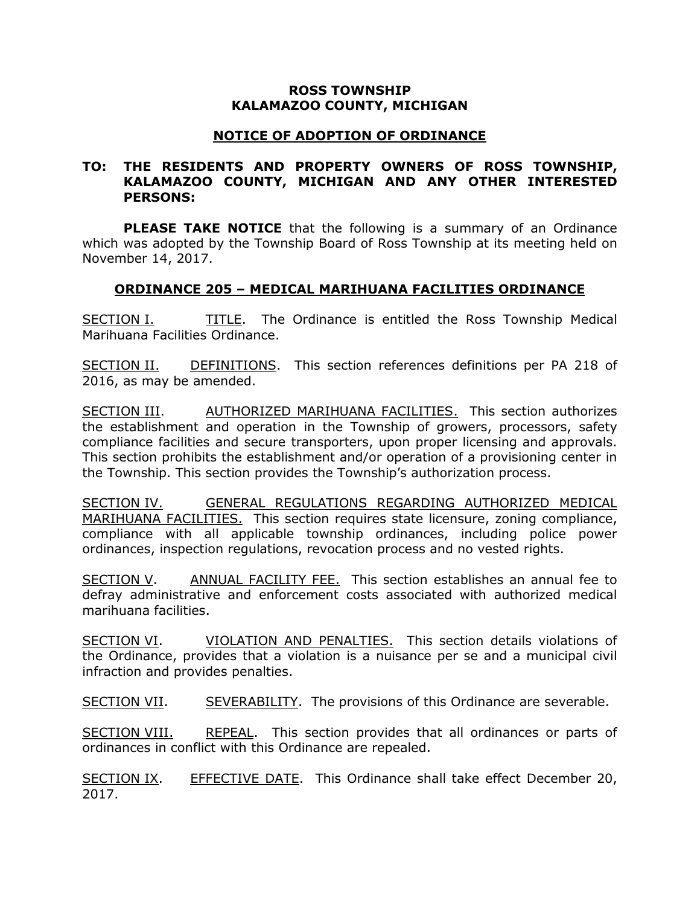## **ROSS TOWNSHIP KALAMAZOO COUNTY, MICHIGAN**

## **NOTICE OF ADOPTION OF ORDINANCE**

## **TO: THE RESIDENTS AND PROPERTY OWNERS OF ROSS TOWNSHIP, KALAMAZOO COUNTY, MICHIGAN AND ANY OTHER INTERESTED PERSONS:**

**PLEASE TAKE NOTICE** that the following is a summary of an Ordinance which was adopted by the Township Board of Ross Township at its meeting held on November 14, 2017.

## **ORDINANCE 205 – MEDICAL MARIHUANA FACILITIES ORDINANCE**

SECTION I. TITLE. The Ordinance is entitled the Ross Township Medical Marihuana Facilities Ordinance.

SECTION II. DEFINITIONS. This section references definitions per PA 218 of 2016, as may be amended.

SECTION III. AUTHORIZED MARIHUANA FACILITIES. This section authorizes the establishment and operation in the Township of growers, processors, safety compliance facilities and secure transporters, upon proper licensing and approvals. This section prohibits the establishment and/or operation of a provisioning center in the Township. This section provides the Township's authorization process.

SECTION IV. GENERAL REGULATIONS REGARDING AUTHORIZED MEDICAL MARIHUANA FACILITIES. This section requires state licensure, zoning compliance, compliance with all applicable township ordinances, including police power ordinances, inspection regulations, revocation process and no vested rights.

SECTION V. ANNUAL FACILITY FEE. This section establishes an annual fee to defray administrative and enforcement costs associated with authorized medical marihuana facilities.

SECTION VI. VIOLATION AND PENALTIES. This section details violations of the Ordinance, provides that a violation is a nuisance per se and a municipal civil infraction and provides penalties.

SECTION VII. SEVERABILITY. The provisions of this Ordinance are severable.

SECTION VIII. REPEAL. This section provides that all ordinances or parts of ordinances in conflict with this Ordinance are repealed.

SECTION IX. EFFECTIVE DATE. This Ordinance shall take effect December 20, 2017.